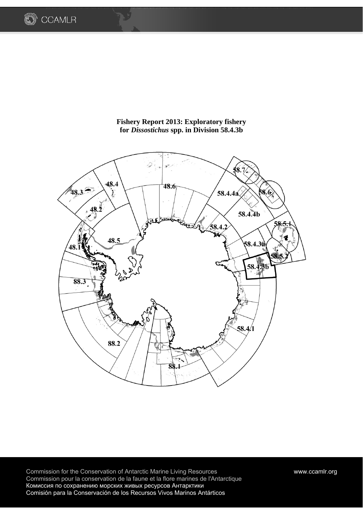



## **Fishery Report 2013: Exploratory fishery for** *Dissostichus* **spp. in Division 58.4.3b**

Commission for the Conservation of Antarctic Marine Living Resources www.ccamlr.org Commission pour la conservation de la faune et la flore marines de l'Antarctique Комиссия по сохранению морских живых ресурсов Антарктики Comisión para la Conservación de los Recursos Vivos Marinos Antárticos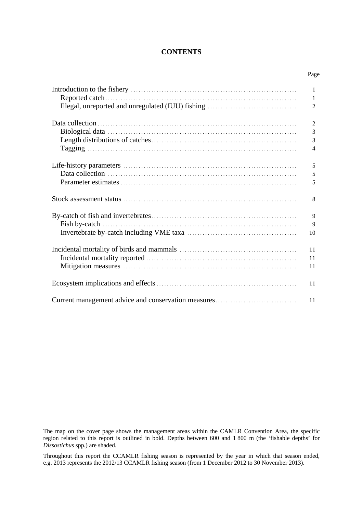### **CONTENTS**

| Page           |
|----------------|
|                |
|                |
| $\overline{2}$ |
| 2              |
| 3              |
| 3              |
| $\overline{4}$ |
| 5              |
| 5              |
| 5              |
| 8              |
| 9              |

| -9  |
|-----|
|     |
|     |
| -11 |
| -11 |
|     |
|     |

The map on the cover page shows the management areas within the CAMLR Convention Area, the specific region related to this report is outlined in bold. Depths between 600 and 1 800 m (the 'fishable depths' for *Dissostichus* spp.) are shaded.

Throughout this report the CCAMLR fishing season is represented by the year in which that season ended, e.g. 2013 represents the 2012/13 CCAMLR fishing season (from 1 December 2012 to 30 November 2013).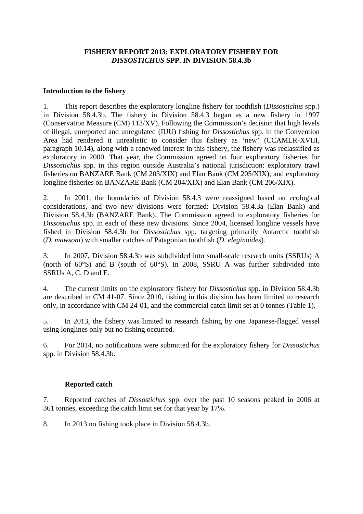## **FISHERY REPORT 2013: EXPLORATORY FISHERY FOR**  *DISSOSTICHUS* **SPP. IN DIVISION 58.4.3b**

## **Introduction to the fishery**

1. This report describes the exploratory longline fishery for toothfish (*Dissostichus* spp.) in Division 58.4.3b. The fishery in Division 58.4.3 began as a new fishery in 1997 (Conservation Measure (CM) 113/XV). Following the Commission's decision that high levels of illegal, unreported and unregulated (IUU) fishing for *Dissostichus* spp. in the Convention Area had rendered it unrealistic to consider this fishery as 'new' (CCAMLR-XVIII, paragraph 10.14), along with a renewed interest in this fishery, the fishery was reclassified as exploratory in 2000. That year, the Commission agreed on four exploratory fisheries for *Dissostichus* spp. in this region outside Australia's national jurisdiction: exploratory trawl fisheries on BANZARE Bank (CM 203/XIX) and Elan Bank (CM 205/XIX); and exploratory longline fisheries on BANZARE Bank (CM 204/XIX) and Elan Bank (CM 206/XIX).

2. In 2001, the boundaries of Division 58.4.3 were reassigned based on ecological considerations, and two new divisions were formed: Division 58.4.3a (Elan Bank) and Division 58.4.3b (BANZARE Bank). The Commission agreed to exploratory fisheries for *Dissostichus* spp. in each of these new divisions. Since 2004, licensed longline vessels have fished in Division 58.4.3b for *Dissostichus* spp. targeting primarily Antarctic toothfish (*D. mawsoni*) with smaller catches of Patagonian toothfish (*D. eleginoides*)*.* 

3. In 2007, Division 58.4.3b was subdivided into small-scale research units (SSRUs) A (north of 60°S) and B (south of 60°S). In 2008, SSRU A was further subdivided into SSRUs A, C, D and E.

4. The current limits on the exploratory fishery for *Dissostichus* spp. in Division 58.4.3b are described in CM 41-07. Since 2010, fishing in this division has been limited to research only, in accordance with CM 24-01, and the commercial catch limit set at 0 tonnes (Table 1).

5. In 2013, the fishery was limited to research fishing by one Japanese-flagged vessel using longlines only but no fishing occurred.

6. For 2014, no notifications were submitted for the exploratory fishery for *Dissostichus* spp. in Division 58.4.3b.

## **Reported catch**

7. Reported catches of *Dissostichus* spp. over the past 10 seasons peaked in 2006 at 361 tonnes, exceeding the catch limit set for that year by 17%.

8. In 2013 no fishing took place in Division 58.4.3b.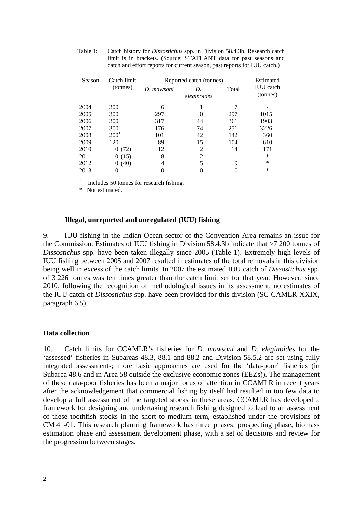| Season | Catch limit      | Reported catch (tonnes) | Estimated         |       |                              |
|--------|------------------|-------------------------|-------------------|-------|------------------------------|
|        | (tonnes)         | D. mawsoni              | D.<br>eleginoides | Total | <b>IUU</b> catch<br>(tonnes) |
| 2004   | 300              | 6                       |                   |       |                              |
| 2005   | 300              | 297                     | $\theta$          | 297   | 1015                         |
| 2006   | 300              | 317                     | 44                | 361   | 1903                         |
| 2007   | 300              | 176                     | 74                | 251   | 3226                         |
| 2008   | 200 <sup>1</sup> | 101                     | 42                | 142   | 360                          |
| 2009   | 120              | 89                      | 15                | 104   | 610                          |
| 2010   | 0(72)            | 12                      | 2                 | 14    | 171                          |
| 2011   | 0(15)            | 8                       | 2                 | 11    | $\ast$                       |
| 2012   | (40)<br>0        | 4                       | 5                 | 9     | $\ast$                       |
| 2013   | 0                | 0                       |                   |       | ∗                            |

Table 1: Catch history for *Dissostichus* spp. in Division 58.4.3b. Research catch limit is in brackets. (Source: STATLANT data for past seasons and catch and effort reports for current season, past reports for IUU catch.)

1 Includes 50 tonnes for research fishing.

\* Not estimated.

### **Illegal, unreported and unregulated (IUU) fishing**

9. IUU fishing in the Indian Ocean sector of the Convention Area remains an issue for the Commission. Estimates of IUU fishing in Division 58.4.3b indicate that >7 200 tonnes of *Dissostichus* spp. have been taken illegally since 2005 (Table 1). Extremely high levels of IUU fishing between 2005 and 2007 resulted in estimates of the total removals in this division being well in excess of the catch limits. In 2007 the estimated IUU catch of *Dissostichus* spp. of 3 226 tonnes was ten times greater than the catch limit set for that year. However, since 2010, following the recognition of methodological issues in its assessment, no estimates of the IUU catch of *Dissostichus* spp. have been provided for this division (SC-CAMLR-XXIX, paragraph 6.5).

### **Data collection**

10. Catch limits for CCAMLR's fisheries for *D. mawsoni* and *D. eleginoides* for the 'assessed' fisheries in Subareas 48.3, 88.1 and 88.2 and Division 58.5.2 are set using fully integrated assessments; more basic approaches are used for the 'data-poor' fisheries (in Subarea 48.6 and in Area 58 outside the exclusive economic zones (EEZs)). The management of these data-poor fisheries has been a major focus of attention in CCAMLR in recent years after the acknowledgement that commercial fishing by itself had resulted in too few data to develop a full assessment of the targeted stocks in these areas. CCAMLR has developed a framework for designing and undertaking research fishing designed to lead to an assessment of these toothfish stocks in the short to medium term, established under the provisions of CM 41-01. This research planning framework has three phases: prospecting phase, biomass estimation phase and assessment development phase, with a set of decisions and review for the progression between stages.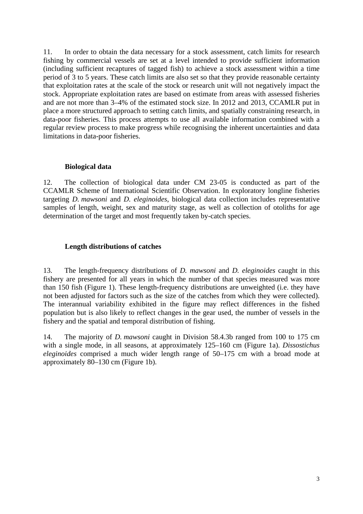11. In order to obtain the data necessary for a stock assessment, catch limits for research fishing by commercial vessels are set at a level intended to provide sufficient information (including sufficient recaptures of tagged fish) to achieve a stock assessment within a time period of 3 to 5 years. These catch limits are also set so that they provide reasonable certainty that exploitation rates at the scale of the stock or research unit will not negatively impact the stock. Appropriate exploitation rates are based on estimate from areas with assessed fisheries and are not more than 3–4% of the estimated stock size. In 2012 and 2013, CCAMLR put in place a more structured approach to setting catch limits, and spatially constraining research, in data-poor fisheries. This process attempts to use all available information combined with a regular review process to make progress while recognising the inherent uncertainties and data limitations in data-poor fisheries.

### **Biological data**

12. The collection of biological data under CM 23-05 is conducted as part of the CCAMLR Scheme of International Scientific Observation. In exploratory longline fisheries targeting *D. mawsoni* and *D. eleginoides*, biological data collection includes representative samples of length, weight, sex and maturity stage, as well as collection of otoliths for age determination of the target and most frequently taken by-catch species.

## **Length distributions of catches**

13. The length-frequency distributions of *D. mawsoni* and *D. eleginoides* caught in this fishery are presented for all years in which the number of that species measured was more than 150 fish (Figure 1). These length-frequency distributions are unweighted (i.e. they have not been adjusted for factors such as the size of the catches from which they were collected). The interannual variability exhibited in the figure may reflect differences in the fished population but is also likely to reflect changes in the gear used, the number of vessels in the fishery and the spatial and temporal distribution of fishing.

14. The majority of *D. mawsoni* caught in Division 58.4.3b ranged from 100 to 175 cm with a single mode, in all seasons, at approximately 125–160 cm (Figure 1a). *Dissostichus eleginoides* comprised a much wider length range of 50–175 cm with a broad mode at approximately 80–130 cm (Figure 1b).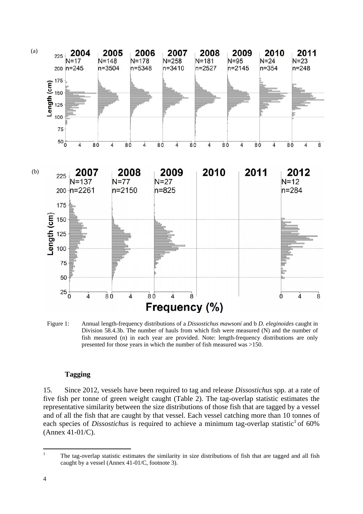

Figure 1: Annual length-frequency distributions of a *Dissostichus mawsoni* and b *D. eleginoides* caught in Division 58.4.3b. The number of hauls from which fish were measured (N) and the number of fish measured (n) in each year are provided. Note: length-frequency distributions are only presented for those years in which the number of fish measured was >150.

## **Tagging**

15. Since 2012, vessels have been required to tag and release *Dissostichus* spp. at a rate of five fish per tonne of green weight caught (Table 2). The tag-overlap statistic estimates the representative similarity between the size distributions of those fish that are tagged by a vessel and of all the fish that are caught by that vessel. Each vessel catching more than 10 tonnes of each species of *Dissostichus* is required to achieve a minimum tag-overlap statistic<sup>1</sup> of 60% (Annex 41-01/C).

 $\overline{1}$ 1 The tag-overlap statistic estimates the similarity in size distributions of fish that are tagged and all fish caught by a vessel (Annex 41-01/C, footnote 3).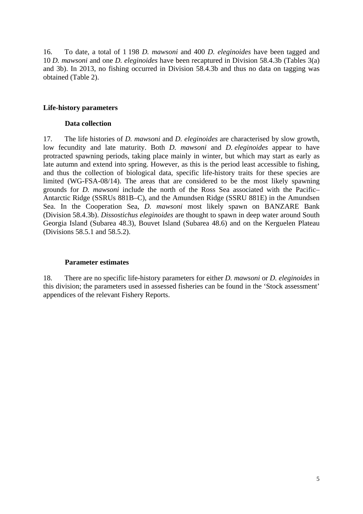16. To date, a total of 1 198 *D. mawsoni* and 400 *D. eleginoides* have been tagged and 10 *D. mawsoni* and one *D. eleginoides* have been recaptured in Division 58.4.3b (Tables 3(a) and 3b). In 2013, no fishing occurred in Division 58.4.3b and thus no data on tagging was obtained (Table 2).

## **Life-history parameters**

### **Data collection**

17. The life histories of *D. mawsoni* and *D. eleginoides* are characterised by slow growth, low fecundity and late maturity. Both *D. mawsoni* and *D. eleginoides* appear to have protracted spawning periods, taking place mainly in winter, but which may start as early as late autumn and extend into spring. However, as this is the period least accessible to fishing, and thus the collection of biological data, specific life-history traits for these species are limited (WG-FSA-08/14). The areas that are considered to be the most likely spawning grounds for *D. mawsoni* include the north of the Ross Sea associated with the Pacific– Antarctic Ridge (SSRUs 881B–C), and the Amundsen Ridge (SSRU 881E) in the Amundsen Sea. In the Cooperation Sea, *D. mawsoni* most likely spawn on BANZARE Bank (Division 58.4.3b). *Dissostichus eleginoides* are thought to spawn in deep water around South Georgia Island (Subarea 48.3), Bouvet Island (Subarea 48.6) and on the Kerguelen Plateau (Divisions 58.5.1 and 58.5.2).

### **Parameter estimates**

18. There are no specific life-history parameters for either *D. mawsoni* or *D. eleginoides* in this division; the parameters used in assessed fisheries can be found in the 'Stock assessment' appendices of the relevant Fishery Reports.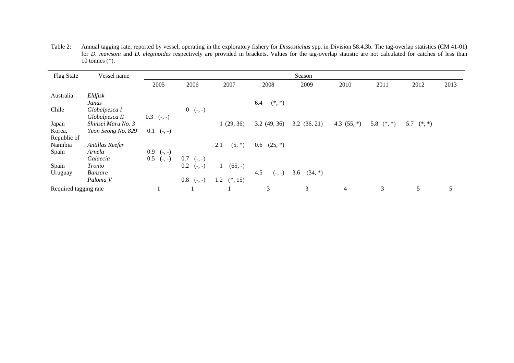Table 2: Annual tagging rate, reported by vessel, operating in the exploratory fishery for *Dissostichus* spp. in Division 58.4.3b. The tag-overlap statistics (CM 41-01) for *D. mawsoni* and *D. eleginoides* respectively are provided in brackets. Values for the tag-overlap statistic are not calculated for catches of less than 10 tonnes (\*).

| Flag State            | Vessel name        |                 |                     |                 |                 | Season           |               |              |              |      |
|-----------------------|--------------------|-----------------|---------------------|-----------------|-----------------|------------------|---------------|--------------|--------------|------|
|                       |                    | 2005            | 2006                | 2007            | 2008            | 2009             | 2010          | 2011         | 2012         | 2013 |
| Australia             | Eldfisk            |                 |                     |                 |                 |                  |               |              |              |      |
|                       | Janas              |                 |                     |                 | $(*, *)$<br>6.4 |                  |               |              |              |      |
| Chile                 | Globalpesca I      |                 | $0 \quad (-, -)$    |                 |                 |                  |               |              |              |      |
|                       | Globalpesca II     | $0.3$ (-, -)    |                     |                 |                 |                  |               |              |              |      |
| Japan                 | Shinsei Maru No. 3 |                 |                     | 1(29, 36)       | 3.2(49, 36)     | 3.2(36, 21)      | 4.3 $(55, *)$ | 5.8 $(*, *)$ | 5.7 $(*, *)$ |      |
| Korea,                | Yeon Seong No. 829 | $0.1$ (-, -)    |                     |                 |                 |                  |               |              |              |      |
| Republic of           |                    |                 |                     |                 |                 |                  |               |              |              |      |
| Namibia               | Antillas Reefer    |                 |                     | $(5, *)$<br>2.1 | $0.6$ $(25, *)$ |                  |               |              |              |      |
| Spain                 | Arnela             | $0.9$ (-, -)    |                     |                 |                 |                  |               |              |              |      |
|                       | Galaecia           | 0.5<br>$(-, -)$ | $0.7$ (-, -)        |                 |                 |                  |               |              |              |      |
| Spain                 | Tronio             |                 | 0.2<br>$(-, -)$     | $(65, -)$<br>1  |                 |                  |               |              |              |      |
| Uruguay               | Banzare            |                 |                     |                 | 4.5<br>$(-, -)$ | 3.6<br>$(34, *)$ |               |              |              |      |
|                       | Paloma V           |                 | $0.8\,$<br>$(-, -)$ | 1.2 $(*, 15)$   |                 |                  |               |              |              |      |
| Required tagging rate |                    |                 |                     |                 | 3               | 3                | 4             | 3            | 5            | 5    |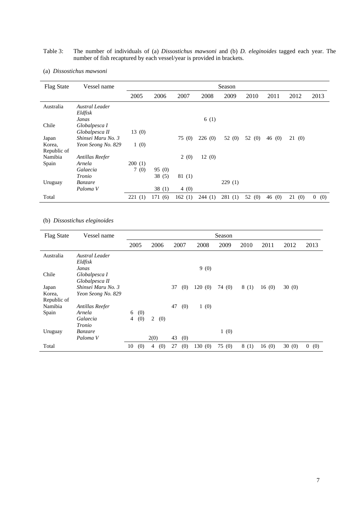#### Table 3: The number of individuals of (a) *Dissostichus mawsoni* and (b) *D. eleginoides* tagged each year. The number of fish recaptured by each vessel/year is provided in brackets.

| <b>Flag State</b> | Vessel name        |        |        |        |        | Season |           |           |           |                       |
|-------------------|--------------------|--------|--------|--------|--------|--------|-----------|-----------|-----------|-----------------------|
|                   |                    | 2005   | 2006   | 2007   | 2008   | 2009   | 2010      | 2011      | 2012      | 2013                  |
| Australia         | Austral Leader     |        |        |        |        |        |           |           |           |                       |
|                   | Eldfisk            |        |        |        |        |        |           |           |           |                       |
|                   | Janas              |        |        |        | 6(1)   |        |           |           |           |                       |
| Chile             | Globalpesca I      |        |        |        |        |        |           |           |           |                       |
|                   | Globalpesca II     | 13(0)  |        |        |        |        |           |           |           |                       |
| Japan             | Shinsei Maru No. 3 |        |        | 75 (0) | 226(0) | 52 (0) | 52 (0)    | 46(0)     | 21(0)     |                       |
| Korea,            | Yeon Seong No. 829 | 1(0)   |        |        |        |        |           |           |           |                       |
| Republic of       |                    |        |        |        |        |        |           |           |           |                       |
| Namibia           | Antillas Reefer    |        |        | 2(0)   | 12(0)  |        |           |           |           |                       |
| Spain             | Arnela             | 200(1) |        |        |        |        |           |           |           |                       |
|                   | Galaecia           | 7(0)   | 95(0)  |        |        |        |           |           |           |                       |
|                   | Tronio             |        | 38(5)  | 81(1)  |        |        |           |           |           |                       |
| Uruguay           | <i>Banzare</i>     |        |        |        |        | 229(1) |           |           |           |                       |
|                   | Paloma V           |        | 38(1)  | 4(0)   |        |        |           |           |           |                       |
| Total             |                    | 221(1) | 171(6) | 162(1) | 244(1) | 281(1) | 52<br>(0) | 46<br>(0) | 21<br>(0) | $\overline{0}$<br>(0) |

#### (a) *Dissostichus mawsoni*

### (b) *Dissostichus eleginoides*

| <b>Flag State</b> | Vessel name               |    |      |                |      |    |      |        | Season |      |       |       |      |
|-------------------|---------------------------|----|------|----------------|------|----|------|--------|--------|------|-------|-------|------|
|                   |                           |    | 2005 |                | 2006 |    | 2007 | 2008   | 2009   | 2010 | 2011  | 2012  | 2013 |
| Australia         | Austral Leader<br>Eldfisk |    |      |                |      |    |      |        |        |      |       |       |      |
|                   | Janas                     |    |      |                |      |    |      | 9(0)   |        |      |       |       |      |
| Chile             | Globalpesca I             |    |      |                |      |    |      |        |        |      |       |       |      |
|                   | Globalpesca II            |    |      |                |      |    |      |        |        |      |       |       |      |
| Japan             | Shinsei Maru No. 3        |    |      |                |      | 37 | (0)  | 120(0) | 74 (0) | 8(1) | 16(0) | 30(0) |      |
| Korea,            | Yeon Seong No. 829        |    |      |                |      |    |      |        |        |      |       |       |      |
| Republic of       |                           |    |      |                |      |    |      |        |        |      |       |       |      |
| Namibia           | Antillas Reefer           |    |      |                |      | 47 | (0)  | 1(0)   |        |      |       |       |      |
| Spain             | Arnela                    | 6  | (0)  |                |      |    |      |        |        |      |       |       |      |
|                   | Galaecia                  | 4  | (0)  | $\overline{2}$ | (0)  |    |      |        |        |      |       |       |      |
|                   | Tronio                    |    |      |                |      |    |      |        |        |      |       |       |      |
| Uruguay           | <i>Banzare</i>            |    |      |                |      |    |      |        | 1(0)   |      |       |       |      |
|                   | Paloma V                  |    |      | 2(0)           |      | 43 | (0)  |        |        |      |       |       |      |
| Total             |                           | 10 | (0)  | 4              | (0)  | 27 | (0)  | 130(0) | 75(0)  | 8(1) | 16(0) | 30(0) | 0(0) |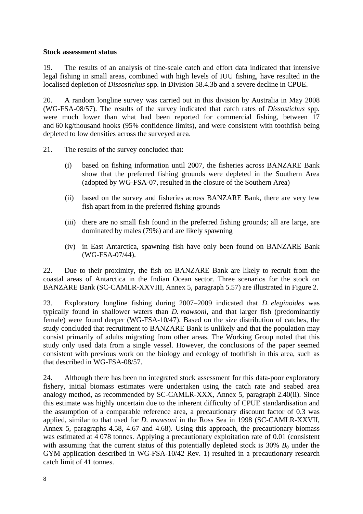## **Stock assessment status**

19. The results of an analysis of fine-scale catch and effort data indicated that intensive legal fishing in small areas, combined with high levels of IUU fishing, have resulted in the localised depletion of *Dissostichus* spp. in Division 58.4.3b and a severe decline in CPUE.

20. A random longline survey was carried out in this division by Australia in May 2008 (WG-FSA-08/57). The results of the survey indicated that catch rates of *Dissostichus* spp. were much lower than what had been reported for commercial fishing, between 17 and 60 kg/thousand hooks (95% confidence limits), and were consistent with toothfish being depleted to low densities across the surveyed area.

- 21. The results of the survey concluded that:
	- (i) based on fishing information until 2007, the fisheries across BANZARE Bank show that the preferred fishing grounds were depleted in the Southern Area (adopted by WG-FSA-07, resulted in the closure of the Southern Area)
	- (ii) based on the survey and fisheries across BANZARE Bank, there are very few fish apart from in the preferred fishing grounds
	- (iii) there are no small fish found in the preferred fishing grounds; all are large, are dominated by males (79%) and are likely spawning
	- (iv) in East Antarctica, spawning fish have only been found on BANZARE Bank (WG-FSA-07/44).

22. Due to their proximity, the fish on BANZARE Bank are likely to recruit from the coastal areas of Antarctica in the Indian Ocean sector. Three scenarios for the stock on BANZARE Bank (SC-CAMLR-XXVIII, Annex 5, paragraph 5.57) are illustrated in Figure 2.

23. Exploratory longline fishing during 2007–2009 indicated that *D. eleginoides* was typically found in shallower waters than *D. mawsoni*, and that larger fish (predominantly female) were found deeper (WG-FSA-10/47). Based on the size distribution of catches, the study concluded that recruitment to BANZARE Bank is unlikely and that the population may consist primarily of adults migrating from other areas. The Working Group noted that this study only used data from a single vessel. However, the conclusions of the paper seemed consistent with previous work on the biology and ecology of toothfish in this area, such as that described in WG-FSA-08/57.

24. Although there has been no integrated stock assessment for this data-poor exploratory fishery, initial biomass estimates were undertaken using the catch rate and seabed area analogy method, as recommended by SC-CAMLR-XXX, Annex 5, paragraph 2.40(ii). Since this estimate was highly uncertain due to the inherent difficulty of CPUE standardisation and the assumption of a comparable reference area, a precautionary discount factor of 0.3 was applied, similar to that used for *D. mawsoni* in the Ross Sea in 1998 (SC-CAMLR-XXVII, Annex 5, paragraphs 4.58, 4.67 and 4.68). Using this approach, the precautionary biomass was estimated at 4 078 tonnes. Applying a precautionary exploitation rate of 0.01 (consistent with assuming that the current status of this potentially depleted stock is  $30\%$  *B*<sub>0</sub> under the GYM application described in WG-FSA-10/42 Rev. 1) resulted in a precautionary research catch limit of 41 tonnes.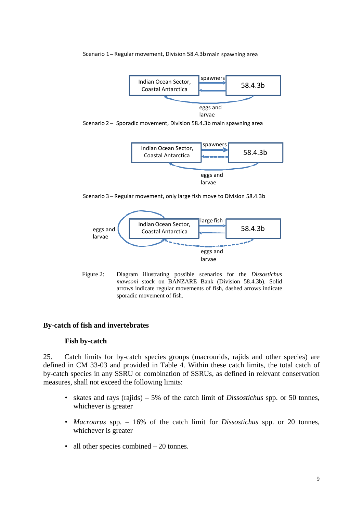#### Scenario 1 – Regular movement, Division 58.4.3b main spawning area



Scenario 2 – Sporadic movement, Division 58.4.3b main spawning area



Scenario 3 – Regular movement, only large fish move to Division 58.4.3b



Figure 2: Diagram illustrating possible scenarios for the *Dissostichus mawsoni* stock on BANZARE Bank (Division 58.4.3b). Solid arrows indicate regular movements of fish, dashed arrows indicate sporadic movement of fish.

## **By-catch of fish and invertebrates**

## **Fish by-catch**

25. Catch limits for by-catch species groups (macrourids, rajids and other species) are defined in CM 33-03 and provided in Table 4. Within these catch limits, the total catch of by-catch species in any SSRU or combination of SSRUs, as defined in relevant conservation measures, shall not exceed the following limits:

- skates and rays (rajids) 5% of the catch limit of *Dissostichus* spp. or 50 tonnes, whichever is greater
- *Macrourus* spp. 16% of the catch limit for *Dissostichus* spp. or 20 tonnes, whichever is greater
- all other species combined 20 tonnes.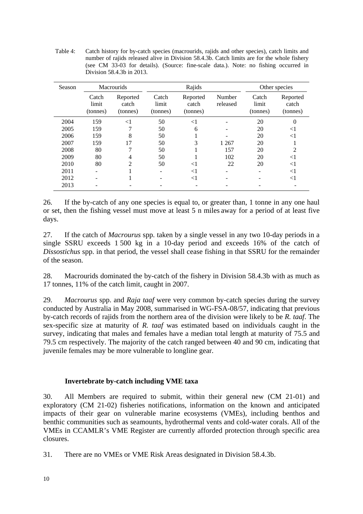Table 4: Catch history for by-catch species (macrourids, rajids and other species), catch limits and number of rajids released alive in Division 58.4.3b. Catch limits are for the whole fishery (see CM 33-03 for details). (Source: fine-scale data.). Note: no fishing occurred in Division 58.4.3b in 2013.

| Season |                            | <b>Macrourids</b>             |                            | Rajids                        |                    |                            | Other species                 |
|--------|----------------------------|-------------------------------|----------------------------|-------------------------------|--------------------|----------------------------|-------------------------------|
|        | Catch<br>limit<br>(tonnes) | Reported<br>catch<br>(tonnes) | Catch<br>limit<br>(tonnes) | Reported<br>catch<br>(tonnes) | Number<br>released | Catch<br>limit<br>(tonnes) | Reported<br>catch<br>(tonnes) |
| 2004   | 159                        | $<$ 1                         | 50                         | $<$ 1                         |                    | 20                         | 0                             |
| 2005   | 159                        |                               | 50                         | 6                             |                    | 20                         | $<$ l                         |
| 2006   | 159                        | 8                             | 50                         |                               |                    | 20                         | $<$ 1                         |
| 2007   | 159                        | 17                            | 50                         | 3                             | 1 2 6 7            | 20                         |                               |
| 2008   | 80                         |                               | 50                         |                               | 157                | 20                         | 2                             |
| 2009   | 80                         | 4                             | 50                         |                               | 102                | 20                         | $<$ 1                         |
| 2010   | 80                         | 2                             | 50                         | $<$ l                         | 22                 | 20                         | $<$ 1                         |
| 2011   |                            |                               |                            | $<$ 1                         |                    |                            | $<$ 1                         |
| 2012   |                            |                               |                            | $<$ 1                         |                    |                            | $<$ 1                         |
| 2013   |                            |                               |                            |                               |                    |                            |                               |

26. If the by-catch of any one species is equal to, or greater than, 1 tonne in any one haul or set, then the fishing vessel must move at least 5 n miles away for a period of at least five days.

27. If the catch of *Macrourus* spp. taken by a single vessel in any two 10-day periods in a single SSRU exceeds 1 500 kg in a 10-day period and exceeds 16% of the catch of *Dissostichus* spp. in that period, the vessel shall cease fishing in that SSRU for the remainder of the season.

28. Macrourids dominated the by-catch of the fishery in Division 58.4.3b with as much as 17 tonnes, 11% of the catch limit, caught in 2007.

29. *Macrourus* spp. and *Raja taaf* were very common by-catch species during the survey conducted by Australia in May 2008, summarised in WG-FSA-08/57, indicating that previous by-catch records of rajids from the northern area of the division were likely to be *R. taaf*. The sex-specific size at maturity of *R. taaf* was estimated based on individuals caught in the survey, indicating that males and females have a median total length at maturity of 75.5 and 79.5 cm respectively. The majority of the catch ranged between 40 and 90 cm, indicating that juvenile females may be more vulnerable to longline gear.

# **Invertebrate by-catch including VME taxa**

30. All Members are required to submit, within their general new (CM 21-01) and exploratory (CM 21-02) fisheries notifications, information on the known and anticipated impacts of their gear on vulnerable marine ecosystems (VMEs), including benthos and benthic communities such as seamounts, hydrothermal vents and cold-water corals. All of the VMEs in CCAMLR's VME Register are currently afforded protection through specific area closures.

31. There are no VMEs or VME Risk Areas designated in Division 58.4.3b.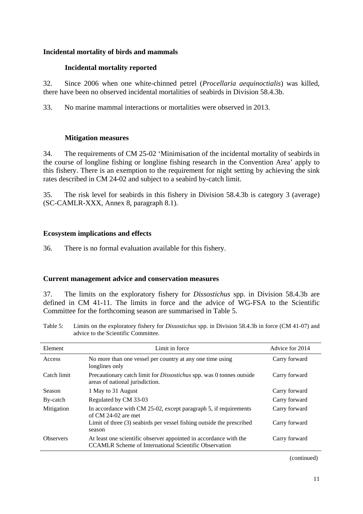## **Incidental mortality of birds and mammals**

# **Incidental mortality reported**

32. Since 2006 when one white-chinned petrel (*Procellaria aequinoctialis*) was killed, there have been no observed incidental mortalities of seabirds in Division 58.4.3b.

33. No marine mammal interactions or mortalities were observed in 2013.

## **Mitigation measures**

34. The requirements of CM 25-02 'Minimisation of the incidental mortality of seabirds in the course of longline fishing or longline fishing research in the Convention Area' apply to this fishery. There is an exemption to the requirement for night setting by achieving the sink rates described in CM 24-02 and subject to a seabird by-catch limit.

35. The risk level for seabirds in this fishery in Division 58.4.3b is category 3 (average) (SC-CAMLR-XXX, Annex 8, paragraph 8.1).

## **Ecosystem implications and effects**

36. There is no formal evaluation available for this fishery.

## **Current management advice and conservation measures**

37. The limits on the exploratory fishery for *Dissostichus* spp. in Division 58.4.3b are defined in CM 41-11. The limits in force and the advice of WG-FSA to the Scientific Committee for the forthcoming season are summarised in Table 5.

Table 5: Limits on the exploratory fishery for *Dissostichus* spp. in Division 58.4.3b in force (CM 41-07) and advice to the Scientific Committee.

| Element          | Limit in force                                                                                                                    | Advice for 2014 |
|------------------|-----------------------------------------------------------------------------------------------------------------------------------|-----------------|
| Access           | No more than one vessel per country at any one time using<br>longlines only                                                       | Carry forward   |
| Catch limit      | Precautionary catch limit for <i>Dissostichus</i> spp. was 0 tonnes outside<br>areas of national jurisdiction.                    | Carry forward   |
| <b>Season</b>    | 1 May to 31 August                                                                                                                | Carry forward   |
| By-catch         | Regulated by CM 33-03                                                                                                             | Carry forward   |
| Mitigation       | In accordance with CM 25-02, except paragraph 5, if requirements<br>of $CM$ 24-02 are met                                         | Carry forward   |
|                  | Limit of three (3) seabirds per vessel fishing outside the prescribed<br>season                                                   | Carry forward   |
| <b>Observers</b> | At least one scientific observer appointed in accordance with the<br><b>CCAMLR Scheme of International Scientific Observation</b> | Carry forward   |

(continued)